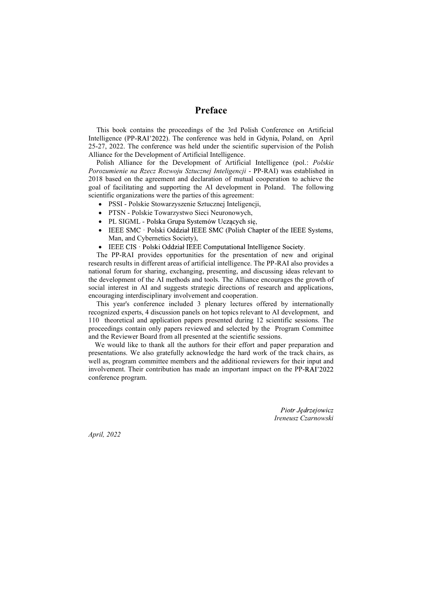### Preface

This book contains the proceedings of the 3rd Polish Conference on Artificial Intelligence (PP-RAI'2022). The conference was held in Gdynia, Poland, on April 25-27, 2022. The conference was held under the scientific supervision of the Polish Alliance for the Development of Artificial Intelligence.

Polish Alliance for the Development of Artificial Intelligence (pol.: Polskie Porozumienie na Rzecz Rozwoju Sztucznej Inteligencji - PP-RAI) was established in 2018 based on the agreement and declaration of mutual cooperation to achieve the goal of facilitating and supporting the AI development in Poland. The following scientific organizations were the parties of this agreement:

- PSSI Polskie Stowarzyszenie Sztucznej Inteligencji,
- PTSN Polskie Towarzystwo Sieci Neuronowych,
- PL SIGML Polska Grupa Systemów Uczących się,
- IEEE SMC · Polski Oddział IEEE SMC (Polish Chapter of the IEEE Systems, Man, and Cybernetics Society),
- $\bullet$ IEEE CIS · Polski Oddział IEEE Computational Intelligence Society.

The PP-RAI provides opportunities for the presentation of new and original research results in different areas of artificial intelligence. The PP-RAI also provides a national forum for sharing, exchanging, presenting, and discussing ideas relevant to the development of the AI methods and tools. The Alliance encourages the growth of social interest in AI and suggests strategic directions of research and applications, encouraging interdisciplinary involvement and cooperation.

This year's conference included 3 plenary lectures offered by internationally recognized experts, 4 discussion panels on hot topics relevant to AI development, and 110 theoretical and application papers presented during 12 scientific sessions. The proceedings contain only papers reviewed and selected by the Program Committee and the Reviewer Board from all presented at the scientific sessions.

We would like to thank all the authors for their effort and paper preparation and presentations. We also gratefully acknowledge the hard work of the track chairs, as well as, program committee members and the additional reviewers for their input and involvement. Their contribution has made an important impact on the PP-RAI'2022 conference program.

> Piotr Jędrzejowicz Ireneusz Czarnowski

April, 2022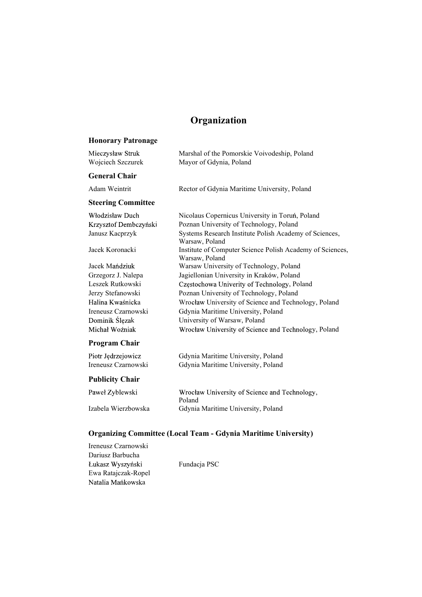# **Organization**

# Honorary Patronage

| Mieczysław Struk<br>Wojciech Szczurek | Marshal of the Pomorskie Voivodeship, Poland<br>Mayor of Gdynia, Poland     |
|---------------------------------------|-----------------------------------------------------------------------------|
| <b>General Chair</b>                  |                                                                             |
| Adam Weintrit                         | Rector of Gdynia Maritime University, Poland                                |
| <b>Steering Committee</b>             |                                                                             |
| Włodzisław Duch                       | Nicolaus Copernicus University in Toruń, Poland                             |
| Krzysztof Dembczyński                 | Poznan University of Technology, Poland                                     |
| Janusz Kacprzyk                       | Systems Research Institute Polish Academy of Sciences,<br>Warsaw, Poland    |
| Jacek Koronacki                       | Institute of Computer Science Polish Academy of Sciences,<br>Warsaw, Poland |
| Jacek Mańdziuk                        | Warsaw University of Technology, Poland                                     |
| Grzegorz J. Nalepa                    | Jagiellonian University in Kraków, Poland                                   |
| Leszek Rutkowski                      | Częstochowa Univerity of Technology, Poland                                 |
| Jerzy Stefanowski                     | Poznan University of Technology, Poland                                     |
| Halina Kwaśnicka                      | Wrocław University of Science and Technology, Poland                        |
| Ireneusz Czarnowski                   | Gdynia Maritime University, Poland                                          |
| Dominik Ślęzak                        | University of Warsaw, Poland                                                |
| Michał Woźniak                        | Wrocław University of Science and Technology, Poland                        |
| <b>Program Chair</b>                  |                                                                             |
| Piotr Jędrzejowicz                    | Gdynia Maritime University, Poland                                          |
| Ireneusz Czarnowski                   | Gdynia Maritime University, Poland                                          |
| <b>Publicity Chair</b>                |                                                                             |
|                                       |                                                                             |

| Paweł Zyblewski     | Wrocław University of Science and Technology, |
|---------------------|-----------------------------------------------|
|                     | Poland                                        |
| Izabela Wierzbowska | Gdynia Maritime University, Poland            |

# Organizing Committee (Local Team - Gdynia Maritime University)

| Ireneusz Czarnowski |              |
|---------------------|--------------|
| Dariusz Barbucha    |              |
| Łukasz Wyszyński    | Fundacja PSC |
| Ewa Ratajczak-Ropel |              |
| Natalia Mańkowska   |              |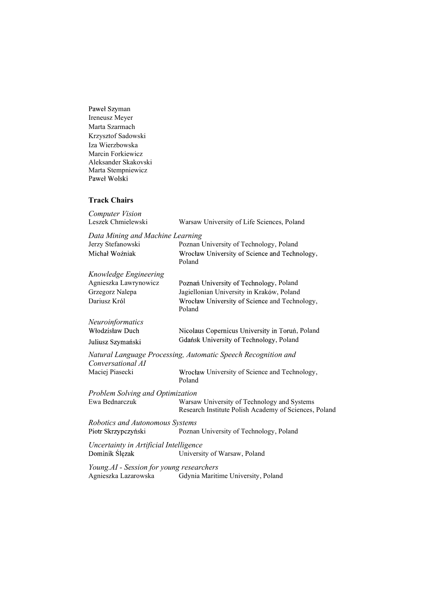Paweł Szyman Ireneusz Meyer Marta Szarmach Krzysztof Sadowski Iza Wierzbowska Marcin Forkiewicz Aleksander Skakovski Marta Stempniewicz Paweł Wolski

#### Track Chairs

| <b>Computer Vision</b>                                                             |                                                                                                      |  |  |  |
|------------------------------------------------------------------------------------|------------------------------------------------------------------------------------------------------|--|--|--|
| Leszek Chmielewski                                                                 | Warsaw University of Life Sciences, Poland                                                           |  |  |  |
| Data Mining and Machine Learning                                                   |                                                                                                      |  |  |  |
| Jerzy Stefanowski                                                                  | Poznan University of Technology, Poland                                                              |  |  |  |
| Michał Woźniak                                                                     | Wrocław University of Science and Technology,<br>Poland                                              |  |  |  |
| Knowledge Engineering                                                              |                                                                                                      |  |  |  |
| Agnieszka Lawrynowicz                                                              | Poznań University of Technology, Poland                                                              |  |  |  |
| Grzegorz Nalepa                                                                    | Jagiellonian University in Kraków, Poland                                                            |  |  |  |
| Dariusz Król                                                                       | Wrocław University of Science and Technology,<br>Poland                                              |  |  |  |
| Neuroinformatics                                                                   |                                                                                                      |  |  |  |
| Włodzisław Duch                                                                    | Nicolaus Copernicus University in Toruń, Poland                                                      |  |  |  |
| Juliusz Szymański                                                                  | Gdańsk University of Technology, Poland                                                              |  |  |  |
| Natural Language Processing, Automatic Speech Recognition and<br>Conversational AI |                                                                                                      |  |  |  |
| Maciej Piasecki                                                                    | Wrocław University of Science and Technology,<br>Poland                                              |  |  |  |
| Problem Solving and Optimization                                                   |                                                                                                      |  |  |  |
| Ewa Bednarczuk                                                                     | Warsaw University of Technology and Systems<br>Research Institute Polish Academy of Sciences, Poland |  |  |  |
| Robotics and Autonomous Systems                                                    |                                                                                                      |  |  |  |
| Piotr Skrzypczyński                                                                | Poznan University of Technology, Poland                                                              |  |  |  |
| Uncertainty in Artificial Intelligence                                             |                                                                                                      |  |  |  |
| Dominik Ślęzak                                                                     | University of Warsaw, Poland                                                                         |  |  |  |
| Young.AI - Session for young researchers                                           |                                                                                                      |  |  |  |
| Agnieszka Lazarowska                                                               | Gdynia Maritime University, Poland                                                                   |  |  |  |